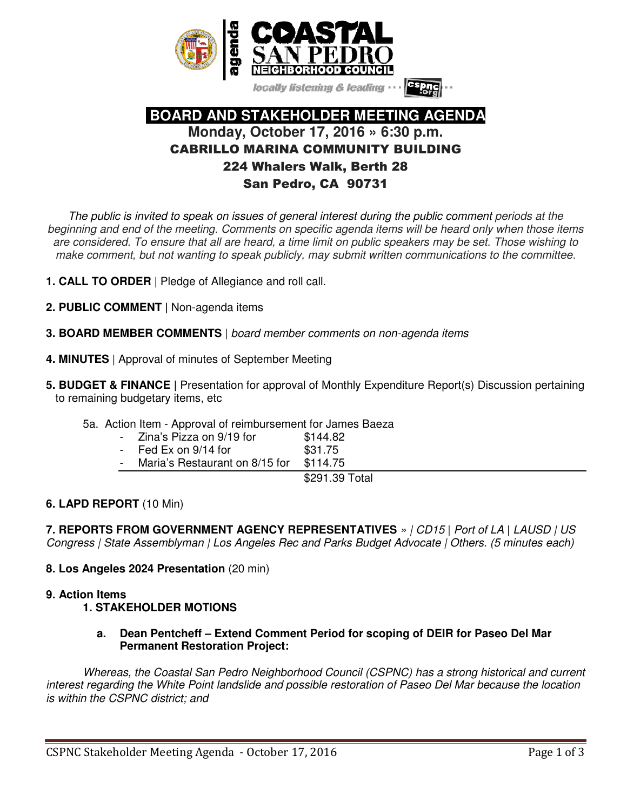

locally listening & leading

# **BOARD AND STAKEHOLDER MEETING AGENDA Monday, October 17, 2016 » 6:30 p.m.**  CABRILLO MARINA COMMUNITY BUILDING 224 Whalers Walk, Berth 28 San Pedro, CA 90731

The public is invited to speak on issues of general interest during the public comment periods at the beginning and end of the meeting. Comments on specific agenda items will be heard only when those items are considered. To ensure that all are heard, a time limit on public speakers may be set. Those wishing to make comment, but not wanting to speak publicly, may submit written communications to the committee.

- **1. CALL TO ORDER** | Pledge of Allegiance and roll call.
- **2. PUBLIC COMMENT |** Non-agenda items
- **3. BOARD MEMBER COMMENTS** | board member comments on non-agenda items
- **4. MINUTES** | Approval of minutes of September Meeting
- **5. BUDGET & FINANCE |** Presentation for approval of Monthly Expenditure Report(s) Discussion pertaining to remaining budgetary items, etc
	- 5a. Action Item Approval of reimbursement for James Baeza

| $\overline{a}$ | Zina's Pizza on 9/19 for                 | \$144.82      |
|----------------|------------------------------------------|---------------|
| -              | Fed Ex on 9/14 for                       | \$31.75       |
|                | $M = -1 - 5 - 1 - 1 - 1 - 1 - 1 - 0 = 0$ | **** <i>*</i> |

Maria's Restaurant on 8/15 for \$114.75

\$291.39 Total

## **6. LAPD REPORT** (10 Min)

**7. REPORTS FROM GOVERNMENT AGENCY REPRESENTATIVES** » | CD15 | Port of LA | LAUSD | US Congress | State Assemblyman | Los Angeles Rec and Parks Budget Advocate | Others. (5 minutes each)

## **8. Los Angeles 2024 Presentation** (20 min)

#### **9. Action Items**

## **1. STAKEHOLDER MOTIONS**

**a. Dean Pentcheff – Extend Comment Period for scoping of DEIR for Paseo Del Mar Permanent Restoration Project:** 

Whereas, the Coastal San Pedro Neighborhood Council (CSPNC) has a strong historical and current interest regarding the White Point landslide and possible restoration of Paseo Del Mar because the location is within the CSPNC district; and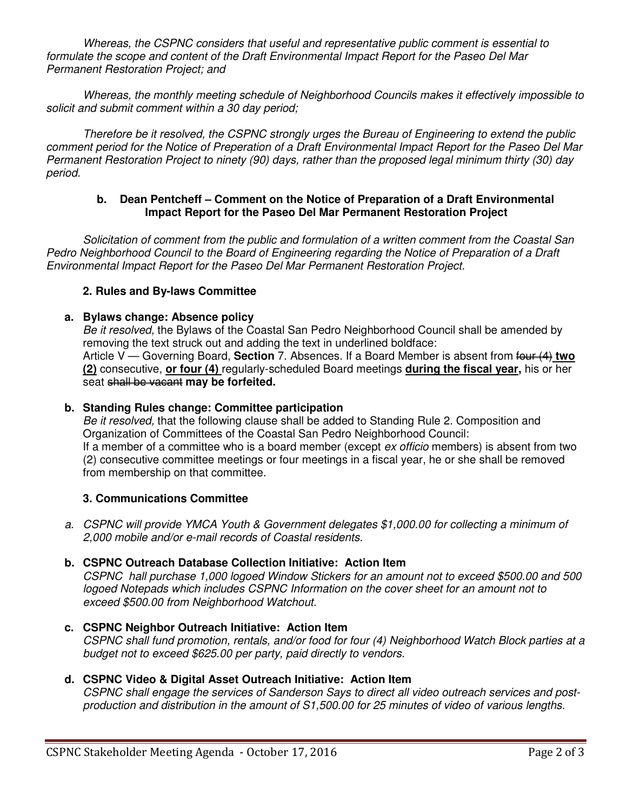Whereas, the CSPNC considers that useful and representative public comment is essential to formulate the scope and content of the Draft Environmental Impact Report for the Paseo Del Mar Permanent Restoration Project; and

Whereas, the monthly meeting schedule of Neighborhood Councils makes it effectively impossible to solicit and submit comment within a 30 day period;

Therefore be it resolved, the CSPNC strongly urges the Bureau of Engineering to extend the public comment period for the Notice of Preperation of a Draft Environmental Impact Report for the Paseo Del Mar Permanent Restoration Project to ninety (90) days, rather than the proposed legal minimum thirty (30) day period.

#### **b. Dean Pentcheff – Comment on the Notice of Preparation of a Draft Environmental Impact Report for the Paseo Del Mar Permanent Restoration Project**

Solicitation of comment from the public and formulation of a written comment from the Coastal San Pedro Neighborhood Council to the Board of Engineering regarding the Notice of Preparation of a Draft Environmental Impact Report for the Paseo Del Mar Permanent Restoration Project.

# **2. Rules and By-laws Committee**

## **a. Bylaws change: Absence policy**

Be it resolved, the Bylaws of the Coastal San Pedro Neighborhood Council shall be amended by removing the text struck out and adding the text in underlined boldface: Article V — Governing Board, **Section** 7. Absences. If a Board Member is absent from four (4) two **(2)** consecutive, **or four (4)** regularly-scheduled Board meetings **during the fiscal year,** his or her seat shall be vacant **may be forfeited.** 

#### **b. Standing Rules change: Committee participation**

Be it resolved, that the following clause shall be added to Standing Rule 2. Composition and Organization of Committees of the Coastal San Pedro Neighborhood Council: If a member of a committee who is a board member (except ex officio members) is absent from two (2) consecutive committee meetings or four meetings in a fiscal year, he or she shall be removed from membership on that committee.

## **3. Communications Committee**

a. CSPNC will provide YMCA Youth & Government delegates \$1,000.00 for collecting a minimum of 2,000 mobile and/or e-mail records of Coastal residents.

## **b. CSPNC Outreach Database Collection Initiative: Action Item**

CSPNC hall purchase 1,000 logoed Window Stickers for an amount not to exceed \$500.00 and 500 logoed Notepads which includes CSPNC Information on the cover sheet for an amount not to exceed \$500.00 from Neighborhood Watchout.

**c. CSPNC Neighbor Outreach Initiative: Action Item** CSPNC shall fund promotion, rentals, and/or food for four (4) Neighborhood Watch Block parties at a budget not to exceed \$625.00 per party, paid directly to vendors.

# **d. CSPNC Video & Digital Asset Outreach Initiative: Action Item**

CSPNC shall engage the services of Sanderson Says to direct all video outreach services and postproduction and distribution in the amount of S1,500.00 for 25 minutes of video of various lengths.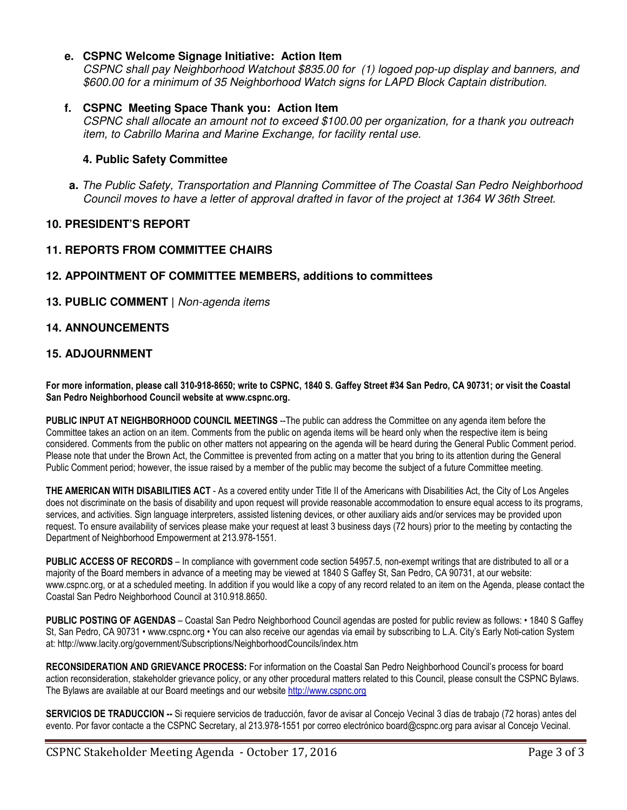## **e. CSPNC Welcome Signage Initiative: Action Item**

CSPNC shall pay Neighborhood Watchout \$835.00 for (1) logoed pop-up display and banners, and \$600.00 for a minimum of 35 Neighborhood Watch signs for LAPD Block Captain distribution.

#### **f. CSPNC Meeting Space Thank you: Action Item**

CSPNC shall allocate an amount not to exceed \$100.00 per organization, for a thank you outreach item, to Cabrillo Marina and Marine Exchange, for facility rental use.

#### **4. Public Safety Committee**

**a.** The Public Safety, Transportation and Planning Committee of The Coastal San Pedro Neighborhood Council moves to have a letter of approval drafted in favor of the project at 1364 W 36th Street.

#### **10. PRESIDENT'S REPORT**

#### **11. REPORTS FROM COMMITTEE CHAIRS**

#### **12. APPOINTMENT OF COMMITTEE MEMBERS, additions to committees**

**13. PUBLIC COMMENT |** Non-agenda items

#### **14. ANNOUNCEMENTS**

#### **15. ADJOURNMENT**

**For more information, please call 310-918-8650; write to CSPNC, 1840 S. Gaffey Street #34 San Pedro, CA 90731; or visit the Coastal San Pedro Neighborhood Council website at www.cspnc.org.** 

**PUBLIC INPUT AT NEIGHBORHOOD COUNCIL MEETINGS** --The public can address the Committee on any agenda item before the Committee takes an action on an item. Comments from the public on agenda items will be heard only when the respective item is being considered. Comments from the public on other matters not appearing on the agenda will be heard during the General Public Comment period. Please note that under the Brown Act, the Committee is prevented from acting on a matter that you bring to its attention during the General Public Comment period; however, the issue raised by a member of the public may become the subject of a future Committee meeting.

**THE AMERICAN WITH DISABILITIES ACT** - As a covered entity under Title II of the Americans with Disabilities Act, the City of Los Angeles does not discriminate on the basis of disability and upon request will provide reasonable accommodation to ensure equal access to its programs, services, and activities. Sign language interpreters, assisted listening devices, or other auxiliary aids and/or services may be provided upon request. To ensure availability of services please make your request at least 3 business days (72 hours) prior to the meeting by contacting the Department of Neighborhood Empowerment at 213.978-1551.

**PUBLIC ACCESS OF RECORDS** – In compliance with government code section 54957.5, non-exempt writings that are distributed to all or a majority of the Board members in advance of a meeting may be viewed at 1840 S Gaffey St, San Pedro, CA 90731, at our website: www.cspnc.org, or at a scheduled meeting. In addition if you would like a copy of any record related to an item on the Agenda, please contact the Coastal San Pedro Neighborhood Council at 310.918.8650.

**PUBLIC POSTING OF AGENDAS** – Coastal San Pedro Neighborhood Council agendas are posted for public review as follows: • 1840 S Gaffey St, San Pedro, CA 90731 • www.cspnc.org • You can also receive our agendas via email by subscribing to L.A. City's Early Noti-cation System at: http://www.lacity.org/government/Subscriptions/NeighborhoodCouncils/index.htm

**RECONSIDERATION AND GRIEVANCE PROCESS:** For information on the Coastal San Pedro Neighborhood Council's process for board action reconsideration, stakeholder grievance policy, or any other procedural matters related to this Council, please consult the CSPNC Bylaws. The Bylaws are available at our Board meetings and our website http://www.cspnc.org

**SERVICIOS DE TRADUCCION --** Si requiere servicios de traducción, favor de avisar al Concejo Vecinal 3 días de trabajo (72 horas) antes del evento. Por favor contacte a the CSPNC Secretary, al 213.978-1551 por correo electrónico board@cspnc.org para avisar al Concejo Vecinal.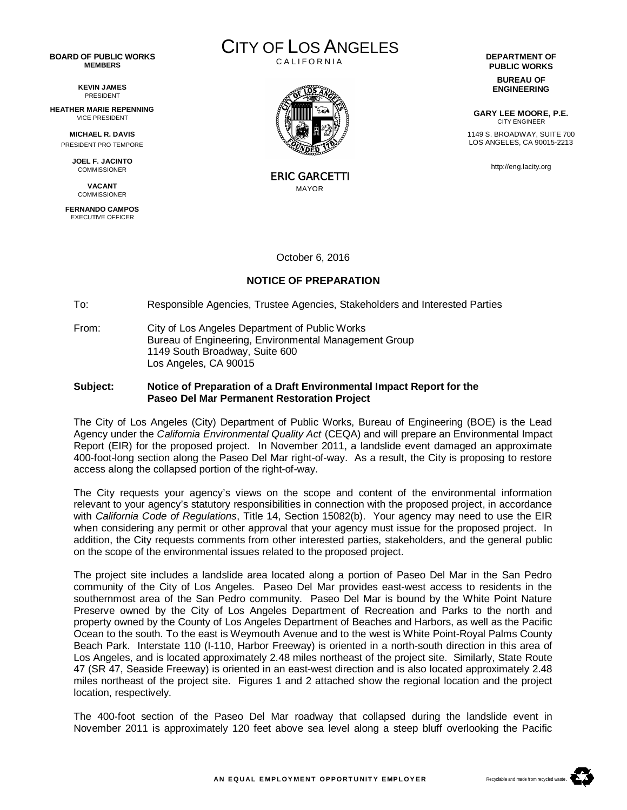#### **BOARD OF PUBLIC WORKS MEMBERS**

**KEVIN JAMES** PRESIDENT

**HEATHER MARIE REPENNING** VICE PRESIDENT

> **MICHAEL R. DAVIS** PRESIDENT PRO TEMPORE

**JOEL F. JACINTO** COMMISSIONER

**VACANT COMMISSIONER** 

**FERNANDO CAMPOS** EXECUTIVE OFFICER





ERIC GARCETTI MAYOR

October 6, 2016

#### **NOTICE OF PREPARATION**

To: Responsible Agencies, Trustee Agencies, Stakeholders and Interested Parties

From: City of Los Angeles Department of Public Works Bureau of Engineering, Environmental Management Group 1149 South Broadway, Suite 600 Los Angeles, CA 90015

#### **Subject: Notice of Preparation of a Draft Environmental Impact Report for the Paseo Del Mar Permanent Restoration Project**

The City of Los Angeles (City) Department of Public Works, Bureau of Engineering (BOE) is the Lead Agency under the *California Environmental Quality Act* (CEQA) and will prepare an Environmental Impact Report (EIR) for the proposed project. In November 2011, a landslide event damaged an approximate 400-foot-long section along the Paseo Del Mar right-of-way. As a result, the City is proposing to restore access along the collapsed portion of the right-of-way.

The City requests your agency's views on the scope and content of the environmental information relevant to your agency's statutory responsibilities in connection with the proposed project, in accordance with *California Code of Regulations*, Title 14, Section 15082(b). Your agency may need to use the EIR when considering any permit or other approval that your agency must issue for the proposed project. In addition, the City requests comments from other interested parties, stakeholders, and the general public on the scope of the environmental issues related to the proposed project.

The project site includes a landslide area located along a portion of Paseo Del Mar in the San Pedro community of the City of Los Angeles. Paseo Del Mar provides east-west access to residents in the southernmost area of the San Pedro community. Paseo Del Mar is bound by the White Point Nature Preserve owned by the City of Los Angeles Department of Recreation and Parks to the north and property owned by the County of Los Angeles Department of Beaches and Harbors, as well as the Pacific Ocean to the south. To the east is Weymouth Avenue and to the west is White Point-Royal Palms County Beach Park. Interstate 110 (I-110, Harbor Freeway) is oriented in a north-south direction in this area of Los Angeles, and is located approximately 2.48 miles northeast of the project site. Similarly, State Route 47 (SR 47, Seaside Freeway) is oriented in an east-west direction and is also located approximately 2.48 miles northeast of the project site. Figures 1 and 2 attached show the regional location and the project location, respectively.

The 400-foot section of the Paseo Del Mar roadway that collapsed during the landslide event in November 2011 is approximately 120 feet above sea level along a steep bluff overlooking the Pacific

**PUBLIC WORKS**

**BUREAU OF ENGINEERING**

**GARY LEE MOORE, P.E.** CITY ENGINEER 1149 S. BROADWAY, SUITE 700 LOS ANGELES, CA 90015-2213

http://eng.lacity.org

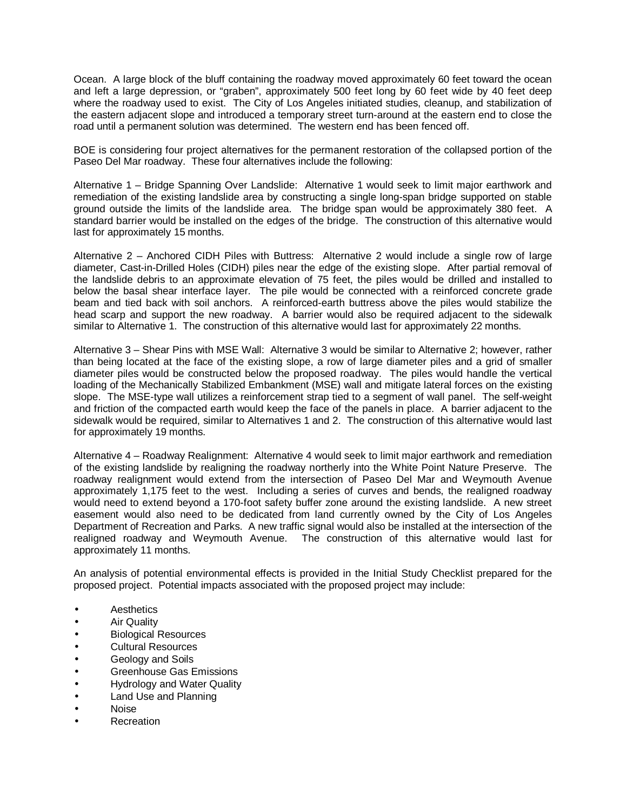Ocean. A large block of the bluff containing the roadway moved approximately 60 feet toward the ocean and left a large depression, or "graben", approximately 500 feet long by 60 feet wide by 40 feet deep where the roadway used to exist. The City of Los Angeles initiated studies, cleanup, and stabilization of the eastern adjacent slope and introduced a temporary street turn-around at the eastern end to close the road until a permanent solution was determined. The western end has been fenced off.

BOE is considering four project alternatives for the permanent restoration of the collapsed portion of the Paseo Del Mar roadway. These four alternatives include the following:

Alternative 1 – Bridge Spanning Over Landslide: Alternative 1 would seek to limit major earthwork and remediation of the existing landslide area by constructing a single long-span bridge supported on stable ground outside the limits of the landslide area. The bridge span would be approximately 380 feet. A standard barrier would be installed on the edges of the bridge. The construction of this alternative would last for approximately 15 months.

Alternative 2 – Anchored CIDH Piles with Buttress: Alternative 2 would include a single row of large diameter, Cast-in-Drilled Holes (CIDH) piles near the edge of the existing slope. After partial removal of the landslide debris to an approximate elevation of 75 feet, the piles would be drilled and installed to below the basal shear interface layer. The pile would be connected with a reinforced concrete grade beam and tied back with soil anchors. A reinforced-earth buttress above the piles would stabilize the head scarp and support the new roadway. A barrier would also be required adjacent to the sidewalk similar to Alternative 1. The construction of this alternative would last for approximately 22 months.

Alternative 3 – Shear Pins with MSE Wall: Alternative 3 would be similar to Alternative 2; however, rather than being located at the face of the existing slope, a row of large diameter piles and a grid of smaller diameter piles would be constructed below the proposed roadway. The piles would handle the vertical loading of the Mechanically Stabilized Embankment (MSE) wall and mitigate lateral forces on the existing slope. The MSE-type wall utilizes a reinforcement strap tied to a segment of wall panel. The self-weight and friction of the compacted earth would keep the face of the panels in place. A barrier adjacent to the sidewalk would be required, similar to Alternatives 1 and 2. The construction of this alternative would last for approximately 19 months.

Alternative 4 – Roadway Realignment: Alternative 4 would seek to limit major earthwork and remediation of the existing landslide by realigning the roadway northerly into the White Point Nature Preserve. The roadway realignment would extend from the intersection of Paseo Del Mar and Weymouth Avenue approximately 1,175 feet to the west. Including a series of curves and bends, the realigned roadway would need to extend beyond a 170-foot safety buffer zone around the existing landslide. A new street easement would also need to be dedicated from land currently owned by the City of Los Angeles Department of Recreation and Parks. A new traffic signal would also be installed at the intersection of the realigned roadway and Weymouth Avenue. The construction of this alternative would last for approximately 11 months.

An analysis of potential environmental effects is provided in the Initial Study Checklist prepared for the proposed project. Potential impacts associated with the proposed project may include:

- **Aesthetics**
- Air Quality
- Biological Resources
- Cultural Resources
- Geology and Soils
- Greenhouse Gas Emissions
- Hydrology and Water Quality
- Land Use and Planning
- Noise
- Recreation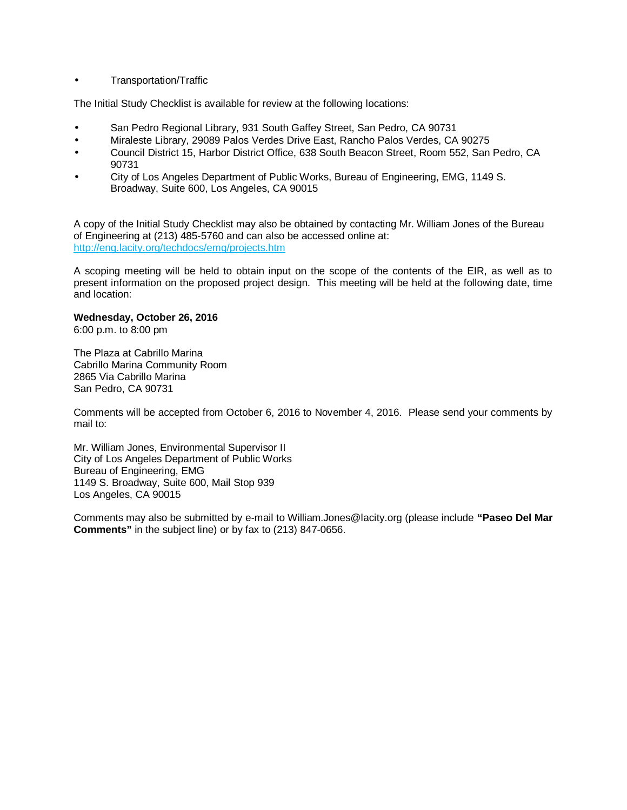#### Transportation/Traffic

The Initial Study Checklist is available for review at the following locations:

- San Pedro Regional Library, 931 South Gaffey Street, San Pedro, CA 90731
- Miraleste Library, 29089 Palos Verdes Drive East, Rancho Palos Verdes, CA 90275
- Council District 15, Harbor District Office, 638 South Beacon Street, Room 552, San Pedro, CA 90731
- City of Los Angeles Department of Public Works, Bureau of Engineering, EMG, 1149 S. Broadway, Suite 600, Los Angeles, CA 90015

A copy of the Initial Study Checklist may also be obtained by contacting Mr. William Jones of the Bureau of Engineering at (213) 485-5760 and can also be accessed online at: http://eng.lacity.org/techdocs/emg/projects.htm

A scoping meeting will be held to obtain input on the scope of the contents of the EIR, as well as to present information on the proposed project design. This meeting will be held at the following date, time and location:

#### **Wednesday, October 26, 2016**

6:00 p.m. to 8:00 pm

The Plaza at Cabrillo Marina Cabrillo Marina Community Room 2865 Via Cabrillo Marina San Pedro, CA 90731

Comments will be accepted from October 6, 2016 to November 4, 2016. Please send your comments by mail to:

Mr. William Jones, Environmental Supervisor II City of Los Angeles Department of Public Works Bureau of Engineering, EMG 1149 S. Broadway, Suite 600, Mail Stop 939 Los Angeles, CA 90015

Comments may also be submitted by e-mail to William.Jones@lacity.org (please include **"Paseo Del Mar Comments"** in the subject line) or by fax to (213) 847-0656.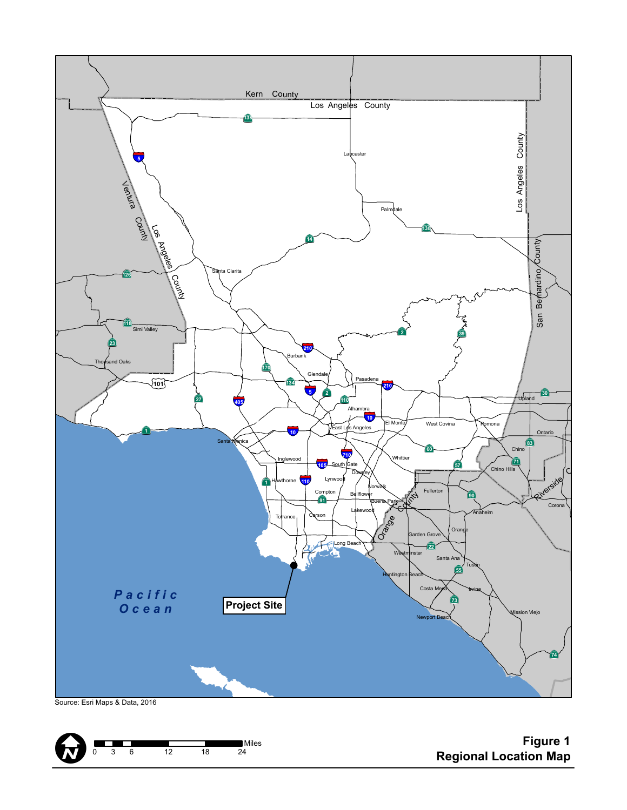